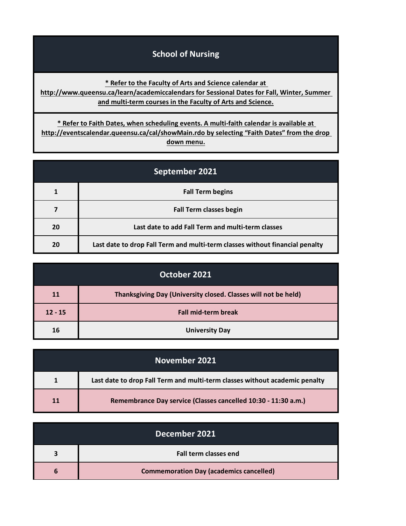## **School of Nursing**

**[\\*](http://www.queensu.ca/learn/academiccalendars) Refer to the Faculty of Arts and Science calendar at** 

**[http://www.](http://www.queensu.ca/learn/academiccalendars)queensu.ca/learn/academiccalendars for Sessional Dates for Fall, Winter, Summer [a](http://www.queensu.ca/learn/academiccalendars)nd multi-term courses in the Faculty of Arts and Science.**

**[\\* Refer](http://eventscalendar.queensu.ca/cal/showMain.rdo) to Faith Dates, when scheduling events. A multi-faith calendar is available at [http://event](http://eventscalendar.queensu.ca/cal/showMain.rdo)scalendar.queensu.ca/cal/showMain.rdo by selecting "Faith Dates" from the drop down menu.**

| September 2021 |                                                                              |
|----------------|------------------------------------------------------------------------------|
|                | <b>Fall Term begins</b>                                                      |
|                | <b>Fall Term classes begin</b>                                               |
| 20             | Last date to add Fall Term and multi-term classes                            |
| 20             | Last date to drop Fall Term and multi-term classes without financial penalty |

| October 2021 |                                                                |
|--------------|----------------------------------------------------------------|
| 11           | Thanksgiving Day (University closed. Classes will not be held) |
| $12 - 15$    | <b>Fall mid-term break</b>                                     |
| 16           | <b>University Day</b>                                          |

|           | November 2021                                                               |
|-----------|-----------------------------------------------------------------------------|
|           | Last date to drop Fall Term and multi-term classes without academic penalty |
| <b>11</b> | Remembrance Day service (Classes cancelled 10:30 - 11:30 a.m.)              |

| December 2021 |                                                |
|---------------|------------------------------------------------|
|               | Fall term classes end                          |
| 6             | <b>Commemoration Day (academics cancelled)</b> |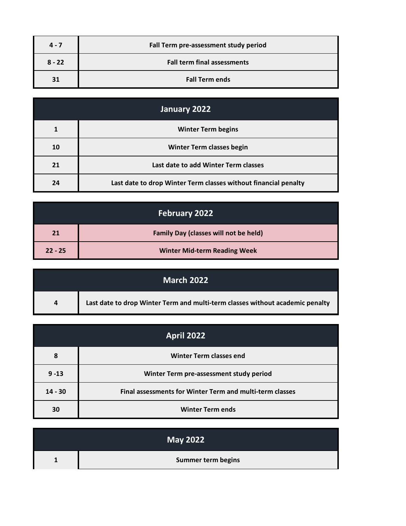| $4 - 7$  | Fall Term pre-assessment study period |
|----------|---------------------------------------|
| $8 - 22$ | <b>Fall term final assessments</b>    |
| 31       | <b>Fall Term ends</b>                 |

| January 2022 |                                                                 |
|--------------|-----------------------------------------------------------------|
|              | <b>Winter Term begins</b>                                       |
| 10           | <b>Winter Term classes begin</b>                                |
| 21           | Last date to add Winter Term classes                            |
| 24           | Last date to drop Winter Term classes without financial penalty |

| February 2022 |                                              |
|---------------|----------------------------------------------|
| 21            | <b>Family Day (classes will not be held)</b> |
| $22 - 25$     | <b>Winter Mid-term Reading Week</b>          |

| March 2022     |                                                                               |
|----------------|-------------------------------------------------------------------------------|
| $\overline{a}$ | Last date to drop Winter Term and multi-term classes without academic penalty |

| <b>April 2022</b> |                                                          |
|-------------------|----------------------------------------------------------|
| 8                 | Winter Term classes end                                  |
| $9 - 13$          | Winter Term pre-assessment study period                  |
| $14 - 30$         | Final assessments for Winter Term and multi-term classes |
| 30                | <b>Winter Term ends</b>                                  |

| <b>May 2022</b>           |
|---------------------------|
| <b>Summer term begins</b> |